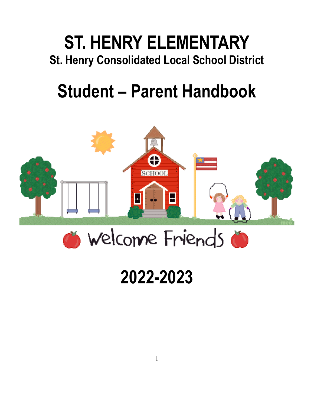# **ST. HENRY ELEMENTARY St. Henry Consolidated Local School District**

# **Student – Parent Handbook**



# **2022-2023**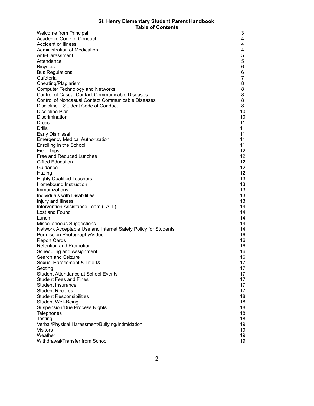#### **St. Henry Elementary Student Parent Handbook Table of Contents**

| Welcome from Principal                                         | 3                 |
|----------------------------------------------------------------|-------------------|
| Academic Code of Conduct                                       | 4                 |
| <b>Accident or Illness</b>                                     | 4                 |
| Administration of Medication                                   | 4                 |
| Anti-Harassment                                                | 5                 |
| Attendance                                                     | 5                 |
| <b>Bicycles</b>                                                | 6                 |
| <b>Bus Regulations</b>                                         | 6                 |
| Cafeteria                                                      | $\overline{7}$    |
| Cheating/Plagiarism                                            | 8                 |
| <b>Computer Technology and Networks</b>                        | 8                 |
| <b>Control of Casual Contact Communicable Diseases</b>         | 8                 |
| <b>Control of Noncasual Contact Communicable Diseases</b>      | 8                 |
| Discipline – Student Code of Conduct                           | 8                 |
| Discipline Plan                                                | 10                |
| Discrimination                                                 | 10                |
| <b>Dress</b>                                                   | 11                |
| Drills                                                         | 11                |
| <b>Early Dismissal</b>                                         | 11                |
| <b>Emergency Medical Authorization</b>                         | 11                |
| Enrolling in the School                                        | 11                |
| <b>Field Trips</b>                                             | $12 \overline{ }$ |
| Free and Reduced Lunches                                       | $12 \overline{ }$ |
| <b>Gifted Education</b>                                        | $12 \overline{ }$ |
| Guidance                                                       | 12                |
| Hazing                                                         | 12                |
| <b>Highly Qualified Teachers</b>                               | 13                |
| Homebound Instruction                                          | 13                |
| Immunizations                                                  | 13                |
| Individuals with Disabilities                                  | 13                |
| Injury and Illness                                             | 13                |
| Intervention Assistance Team (I.A.T.)                          | 14                |
| Lost and Found                                                 | 14                |
| Lunch                                                          | 14                |
| Miscellaneous Suggestions                                      | 14                |
| Network Acceptable Use and Internet Safety Policy for Students | 14                |
| Permission Photography/Video                                   | 16                |
| <b>Report Cards</b>                                            | 16                |
| <b>Retention and Promotion</b>                                 | 16                |
| Scheduling and Assignment                                      | 16                |
| Search and Seizure                                             | 16                |
| Sexual Harassment & Title IX                                   | 17                |
| Sexting                                                        | 17                |
| <b>Student Attendance at School Events</b>                     | 17                |
| <b>Student Fees and Fines</b>                                  | 17                |
| <b>Student Insurance</b>                                       | 17                |
| <b>Student Records</b>                                         | 17                |
| <b>Student Responsibilities</b>                                | 18                |
| <b>Student Well-Being</b>                                      | 18                |
| <b>Suspension/Due Process Rights</b>                           | 18                |
| Telephones                                                     | 18                |
| Testing                                                        | 18                |
| Verbal/Physical Harassment/Bullying/Intimidation               | 19                |
| <b>Visitors</b>                                                | 19                |
| Weather                                                        | 19                |
| Withdrawal/Transfer from School                                | 19                |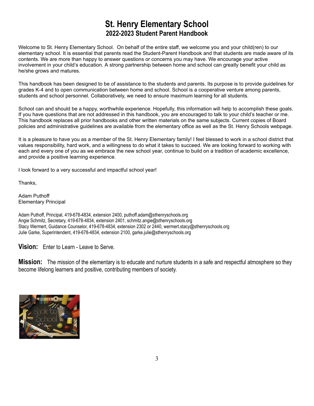# **St. Henry Elementary School 2022-2023 Student Parent Handbook**

Welcome to St. Henry Elementary School. On behalf of the entire staff, we welcome you and your child(ren) to our elementary school. It is essential that parents read the Student-Parent Handbook and that students are made aware of its contents. We are more than happy to answer questions or concerns you may have. We encourage your active involvement in your child's education. A strong partnership between home and school can greatly benefit your child as he/she grows and matures.

This handbook has been designed to be of assistance to the students and parents. Its purpose is to provide guidelines for grades K-4 and to open communication between home and school. School is a cooperative venture among parents, students and school personnel. Collaboratively, we need to ensure maximum learning for all students.

School can and should be a happy, worthwhile experience. Hopefully, this information will help to accomplish these goals. If you have questions that are not addressed in this handbook, you are encouraged to talk to your child's teacher or me. This handbook replaces all prior handbooks and other written materials on the same subjects. Current copies of Board policies and administrative guidelines are available from the elementary office as well as the St. Henry Schools webpage.

It is a pleasure to have you as a member of the St. Henry Elementary family! I feel blessed to work in a school district that values responsibility, hard work, and a willingness to do what it takes to succeed. We are looking forward to working with each and every one of you as we embrace the new school year, continue to build on a tradition of academic excellence, and provide a positive learning experience.

I look forward to a very successful and impactful school year!

Thanks,

Adam Puthoff Elementary Principal

Adam Puthoff, Principal, 419-678-4834, extension 2400, puthoff.adam@sthenryschools.org Angie Schmitz, Secretary, 419-678-4834, extension 2401, schmitz.angie@sthenryschools.org Stacy Wermert, Guidance Counselor, 419-678-4834, extension 2302 or 2440, wermert.stacy@sthenryschools.org Julie Garke, Superintendent, 419-678-4834, extension 2100, garke.julie@sthenryschools.org

**Vision:** Enter to Learn - Leave to Serve.

**Mission:** The mission of the elementary is to educate and nurture students in a safe and respectful atmosphere so they become lifelong learners and positive, contributing members of society.

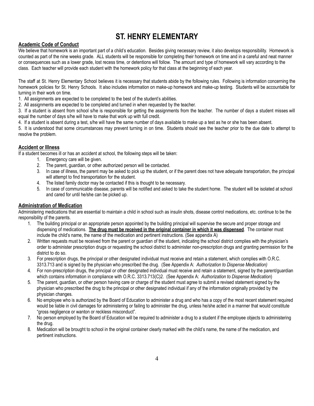# **ST. HENRY ELEMENTARY**

# **Academic Code of Conduct**

We believe that homework is an important part of a child's education. Besides giving necessary review, it also develops responsibility. Homework is counted as part of the nine weeks grade. ALL students will be responsible for completing their homework on time and in a careful and neat manner or consequences such as a lower grade, lost recess time, or detentions will follow. The amount and type of homework will vary according to the class. Each teacher will provide each student with the homework policy for that class at the beginning of each year.

The staff at St. Henry Elementary School believes it is necessary that students abide by the following rules. Following is information concerning the homework policies for St. Henry Schools. It also includes information on make-up homework and make-up testing. Students will be accountable for turning in their work on time.

1. All assignments are expected to be completed to the best of the student's abilities.

2. All assignments are expected to be completed and turned in when requested by the teacher.

3. If a student is absent from school s/he is responsible for getting the assignments from the teacher. The number of days a student misses will equal the number of days s/he will have to make that work up with full credit.

4. If a student is absent during a test, s/he will have the same number of days available to make up a test as he or she has been absent.

5. It is understood that some circumstances may prevent turning in on time. Students should see the teacher prior to the due date to attempt to resolve the problem.

# **Accident or Illness**

If a student becomes ill or has an accident at school, the following steps will be taken:

- 1. Emergency care will be given.
- 2. The parent, guardian, or other authorized person will be contacted.
- 3. In case of illness, the parent may be asked to pick up the student, or if the parent does not have adequate transportation, the principal will attempt to find transportation for the student.
- 4. The listed family doctor may be contacted if this is thought to be necessary.
- 5. In case of communicable disease, parents will be notified and asked to take the student home. The student will be isolated at school and cared for until he/she can be picked up.

# **Administration of Medication**

Administering medications that are essential to maintain a child in school such as insulin shots, disease control medications, etc. continue to be the responsibility of the parents.

- 1. The building principal or an appropriate person appointed by the building principal will supervise the secure and proper storage and dispensing of medications. **The drug must be received in the original container in which it was dispensed**. The container must include the child's name, the name of the medication and pertinent instructions. (See appendix A)
- 2. Written requests must be received from the parent or guardian of the student, indicating the school district complies with the physician's order to administer prescription drugs or requesting the school district to administer non-prescription drugs and granting permission for the district to do so.
- 3. For prescription drugs, the principal or other designated individual must receive and retain a statement, which complies with O.R.C. 3313.713 and is signed by the physician who prescribed the drug. (See Appendix A: *Authorization to Dispense Medication)*
- 4. For non-prescription drugs, the principal or other designated individual must receive and retain a statement, signed by the parent/guardian which contains information in compliance with O.R.C. 3313.713(C)2. (See Appendix A: *Authorization to Dispense Medication*)
- 5. The parent, guardian, or other person having care or charge of the student must agree to submit a revised statement signed by the physician who prescribed the drug to the principal or other designated individual if any of the information originally provided by the physician changes.
- 6. No employee who is authorized by the Board of Education to administer a drug and who has a copy of the most recent statement required would be liable in civil damages for administering or failing to administer the drug, unless he/she acted in a manner that would constitute "gross negligence or wanton or reckless misconduct".
- 7. No person employed by the Board of Education will be required to administer a drug to a student if the employee objects to administering the drug.
- 8. Medication will be brought to school in the original container clearly marked with the child's name, the name of the medication, and pertinent instructions.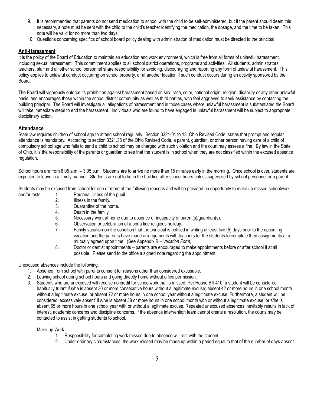- 9. It is recommended that parents do not send medication to school with the child to be self-administered, but if the parent should deem this necessary, a note must be sent with the child to the child's teacher identifying the medication, the dosage, and the time to be taken. This note will be valid for no more than two days.
- 10. Questions concerning specifics of school board policy dealing with administration of medication must be directed to the principal.

# **Anti-Harassment**

It is the policy of the Board of Education to maintain an education and work environment, which is free from all forms of unlawful harassment, including sexual harassment. This commitment applies to all school district operations, programs and activities. All students, administrators, teachers, staff and all other school personnel share responsibility for avoiding, discouraging and reporting any form of unlawful harassment. This policy applies to unlawful conduct occurring on school property, or at another location if such conduct occurs during an activity sponsored by the Board.

The Board will vigorously enforce its prohibition against harassment based on sex, race, color, national origin, religion, disability or any other unlawful basis, and encourages those within the school district community as well as third parties, who feel aggrieved to seek assistance by contacting the building principal. The Board will investigate all allegations of harassment and in those cases where unlawful harassment is substantiated the Board will take immediate steps to end the harassment. Individuals who are found to have engaged in unlawful harassment will be subject to appropriate disciplinary action.

# **Attendance**

State law requires children of school age to attend school regularly. Section 3321-01 to 13, Ohio Revised Code, states that prompt and regular attendance is mandatory. According to section 3321.38 of the Ohio Revised Code, a parent, guardian, or other person having care of a child of compulsory school age who fails to send a child to school may be charged with such violation and the court may assess a fine. By law in the State of Ohio, it is the responsibility of the parents or guardian to see that the student is in school when they are not classified within the excused absence regulation.

School hours are from 8:05 a.m.  $-3:05$  p.m. Students are to arrive no more than 15 minutes early in the morning. Once school is over, students are expected to leave in a timely manner. Students are not to be in the building after school hours unless supervised by school personnel or a parent.

Students may be excused from school for one or more of the following reasons and will be provided an opportunity to make up missed schoolwork and/or tests: 1. Personal illness of the pupil.

- 
- 2. Illness in the family.<br>3. Quarantine of the ho Quarantine of the home.
- 4. Death in the family.
- 
- 5. Necessary work at home due to absence or incapacity of parent(s)/guardian(s).
- 6. Observation or celebration of a bona fide religious holiday.
- 7. Family vacation-on the condition that the principal is notified in writing at least five (5) days prior to the upcoming vacation and the parents have made arrangements with teachers for the students to complete their assignments at a mutually agreed upon time. (See Appendix B – *Vacation Form)*
- 8. Doctor or dentist appointments parents are encouraged to make appointments before or after school if at all possible. Please send to the office a signed note regarding the appointment.

Unexcused absences include the following:

- 1. Absence from school with parents consent for reasons other than considered excusable.
- 2. Leaving school during school hours and going directly home without office permission.
- 3. Students who are unexcused will receive no credit for schoolwork that is missed. Per House Bill 410, a student will be considered habitually truant if s/he is absent 30 or more consecutive hours without a legitimate excuse; absent 42 or more hours in one school month without a legitimate excuse; or absent 72 or more hours in one school year without a legitimate excuse. Furthermore, a student will be considered 'excessively absent' if s/he is absent 38 or more hours in one school month with or without a legitimate excuse; or s/he is absent 65 or more hours in one school year with or without a legitimate excuse. Repeated unexcused absences inevitably results in lack of interest, academic concerns and discipline concerns. If the absence intervention team cannot create a resolution, the courts may be contacted to assist in getting students to school.

Make-up Work

- 1. Responsibility for completing work missed due to absence will rest with the student.
- 2. Under ordinary circumstances, the work missed may be made up within a period equal to that of the number of days absent.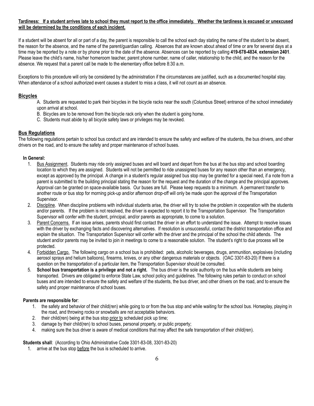#### Tardiness: If a student arrives late to school they must report to the office immediately. Whether the tardiness is excused or unexcused **will be determined by the conditions of each incident.**

If a student will be absent for all or part of a day, the parent is responsible to call the school each day stating the name of the student to be absent, the reason for the absence, and the name of the parent/guardian calling. Absences that are known about ahead of time or are for several days at a time may be reported by a note or by phone prior to the date of the absence. Absences can be reported by calling **419-678-4834**, **extension 2401**. Please leave the child's name, his/her homeroom teacher, parent phone number, name of caller, relationship to the child, and the reason for the absence. We request that a parent call be made to the elementary office before 8:30 a.m.

Exceptions to this procedure will only be considered by the administration if the circumstances are justified, such as a documented hospital stay. When attendance of a school authorized event causes a student to miss a class, it will not count as an absence.

# **Bicycles**

- A. Students are requested to park their bicycles in the bicycle racks near the south (Columbus Street) entrance of the school immediately upon arrival at school.
	- B. Bicycles are to be removed from the bicycle rack only when the student is going home.
	- C. Students must abide by all bicycle safety laws or privileges may be revoked.

# **Bus Regulations**

The following regulations pertain to school bus conduct and are intended to ensure the safety and welfare of the students, the bus drivers, and other drivers on the road, and to ensure the safety and proper maintenance of school buses.

#### **In General:**

- 1. Bus Assignment. Students may ride only assigned buses and will board and depart from the bus at the bus stop and school boarding location to which they are assigned. Students will not be permitted to ride unassigned buses for any reason other than an emergency, except as approved by the principal. A change in a student's regular assigned bus stop may be granted for a special need, if a note from a parent is submitted to the building principal stating the reason for the request and the duration of the change and the principal approves. Approval can be granted on space-available basis. Our buses are full. Please keep requests to a minimum. A permanent transfer to another route or bus stop for morning pick-up and/or afternoon drop-off will only be made upon the approval of the Transportation Supervisor.
- 2. Discipline. When discipline problems with individual students arise, the driver will try to solve the problem in cooperation with the students and/or parents. If the problem is not resolved, the driver is expected to report it to the Transportation Supervisor. The Transportation Supervisor will confer with the student, principal, and/or parents as appropriate, to come to a solution.
- 3. Parent Concerns. If an issue arises, parents should first contact the driver in an effort to understand the issue. Attempt to resolve issues with the driver by exchanging facts and discovering alternatives. If resolution is unsuccessful, contact the district transportation office and explain the situation. The Transportation Supervisor will confer with the driver and the principal of the school the child attends. The student and/or parents may be invited to join in meetings to come to a reasonable solution. The student's right to due process will be protected.
- 4. Forbidden Cargo. The following cargo on a school bus is prohibited: pets, alcoholic beverages, drugs, ammunition, explosives (including aerosol sprays and helium balloons), firearms, knives, or any other dangerous materials or objects. (OAC 3301-83-20) If there is a question on the transportation of a particular item, the Transportation Supervisor should be consulted.
- 5. **School bus transportation is a privilege and not a right.** The bus driver is the sole authority on the bus while students are being transported. Drivers are obligated to enforce State Law, school policy and guidelines. The following rules pertain to conduct on school buses and are intended to ensure the safety and welfare of the students, the bus driver, and other drivers on the road, and to ensure the safety and proper maintenance of school buses.

#### **Parents are responsible for**:

- 1. the safety and behavior of their child(ren) while going to or from the bus stop and while waiting for the school bus. Horseplay, playing in the road, and throwing rocks or snowballs are not acceptable behaviors.
- 2. their child(ren) being at the bus stop prior to scheduled pick up time;
- 3. damage by their child(ren) to school buses, personal property, or public property;
- 4. making sure the bus driver is aware of medical conditions that may affect the safe transportation of their child(ren).

#### **Students shall**: (According to Ohio Administrative Code 3301-83-08, 3301-83-20)

1. arrive at the bus stop before the bus is scheduled to arrive.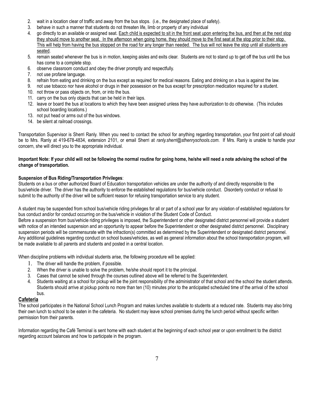- 2. wait in a location clear of traffic and away from the bus stops. (i.e., the designated place of safety).
- 3. behave in such a manner that students do not threaten life, limb or property of any individual
- 4. go directly to an available or assigned seat. Each child is expected to sit in the front seat upon entering the bus, and then at the next stop they should move to another seat. In the afternoon when going home, they should move to the first seat at the stop prior to their stop. This will help from having the bus stopped on the road for any longer than needed. The bus will not leave the stop until all students are seated.
- 5. remain seated whenever the bus is in motion, keeping aisles and exits clear. Students are not to stand up to get off the bus until the bus has come to a complete stop.
- 6. observe classroom conduct and obey the driver promptly and respectfully.
- 7. not use profane language.
- 8. refrain from eating and drinking on the bus except as required for medical reasons. Eating and drinking on a bus is against the law.
- 9. not use tobacco nor have alcohol or drugs in their possession on the bus except for prescription medication required for a student.
- 10. not throw or pass objects on, from, or into the bus.
- 11. carry on the bus only objects that can be held in their laps.
- 12. leave or board the bus at locations to which they have been assigned unless they have authorization to do otherwise. (This includes school boarding locations.)
- 13. not put head or arms out of the bus windows.
- 14. be silent at railroad crossings.

Transportation Supervisor is Sherri Ranly. When you need to contact the school for anything regarding transportation, your first point of call should be to Mrs. Ranly at 419-678-4834, extension 2101, or email Sherri at *ranly.sherri@sthenryschools.com*. If Mrs. Ranly is unable to handle your concern, she will direct you to the appropriate individual.

#### Important Note: If your child will not be following the normal routine for going home, he/she will need a note advising the school of the **change of transportation.**

# **Suspension of Bus Riding/Transportation Privileges**:

Students on a bus or other authorized Board of Education transportation vehicles are under the authority of and directly responsible to the bus/vehicle driver. The driver has the authority to enforce the established regulations for bus/vehicle conduct. Disorderly conduct or refusal to submit to the authority of the driver will be sufficient reason for refusing transportation service to any student.

A student may be suspended from school bus/vehicle riding privileges for all or part of a school year for any violation of established regulations for bus conduct and/or for conduct occurring on the bus/vehicle in violation of the Student Code of Conduct.

Before a suspension from bus/vehicle riding privileges is imposed, the Superintendent or other designated district personnel will provide a student with notice of an intended suspension and an opportunity to appear before the Superintendent or other designated district personnel. Disciplinary suspension periods will be commensurate with the infraction(s) committed as determined by the Superintendent or designated district personnel. Any additional guidelines regarding conduct on school buses/vehicles, as well as general information about the school transportation program, will be made available to all parents and students and posted in a central location.

When discipline problems with individual students arise, the following procedure will be applied:

- 1. The driver will handle the problem, if possible.
- 2. When the driver is unable to solve the problem, he/she should report it to the principal.
- 3. Cases that cannot be solved through the courses outlined above will be referred to the Superintendent.
- 4. Students waiting at a school for pickup will be the joint responsibility of the administrator of that school and the school the student attends. Students should arrive at pickup points no more than ten (10) minutes prior to the anticipated scheduled time of the arrival of the school bus.

# **Cafeteria**

The school participates in the National School Lunch Program and makes lunches available to students at a reduced rate. Students may also bring their own lunch to school to be eaten in the cafeteria. No student may leave school premises during the lunch period without specific written permission from their parents.

Information regarding the Café Terminal is sent home with each student at the beginning of each school year or upon enrollment to the district regarding account balances and how to participate in the program.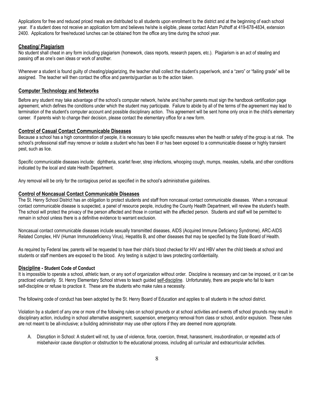Applications for free and reduced priced meals are distributed to all students upon enrollment to the district and at the beginning of each school year. If a student does not receive an application form and believes he/she is eligible, please contact Adam Puthoff at 419-678-4834, extension 2400. Applications for free/reduced lunches can be obtained from the office any time during the school year.

# **Cheating/ Plagiarism**

No student shall cheat in any form including plagiarism (homework, class reports, research papers, etc.). Plagiarism is an act of stealing and passing off as one's own ideas or work of another.

Whenever a student is found guilty of cheating/plagiarizing, the teacher shall collect the student's paper/work, and a "zero" or "failing grade" will be assigned. The teacher will then contact the office and parents/guardian as to the action taken.

# **Computer Technology and Networks**

Before any student may take advantage of the school's computer network, he/she and his/her parents must sign the handbook certification page agreement, which defines the conditions under which the student may participate. Failure to abide by all of the terms of the agreement may lead to termination of the student's computer account and possible disciplinary action. This agreement will be sent home only once in the child's elementary career. If parents wish to change their decision, please contact the elementary office for a new form.

#### **Control of Casual Contact Communicable Diseases**

Because a school has a high concentration of people, it is necessary to take specific measures when the health or safety of the group is at risk. The school's professional staff may remove or isolate a student who has been ill or has been exposed to a communicable disease or highly transient pest, such as lice.

Specific communicable diseases include: diphtheria, scarlet fever, strep infections, whooping cough, mumps, measles, rubella, and other conditions indicated by the local and state Health Department.

Any removal will be only for the contagious period as specified in the school's administrative guidelines.

#### **Control of Noncasual Contact Communicable Diseases**

The St. Henry School District has an obligation to protect students and staff from noncasual contact communicable diseases. When a noncasual contact communicable disease is suspected, a panel of resource people, including the County Health Department, will review the student's health. The school will protect the privacy of the person affected and those in contact with the affected person. Students and staff will be permitted to remain in school unless there is a definitive evidence to warrant exclusion.

Noncasual contact communicable diseases include sexually transmitted diseases, AIDS (Acquired Immune Deficiency Syndrome), ARC-AIDS Related Complex, HIV (Human Immunodeficiency Virus), Hepatitis B, and other diseases that may be specified by the State Board of Health.

As required by Federal law, parents will be requested to have their child's blood checked for HIV and HBV when the child bleeds at school and students or staff members are exposed to the blood. Any testing is subject to laws protecting confidentiality.

#### **Discipline - Student Code of Conduct**

It is impossible to operate a school, athletic team, or any sort of organization without order. Discipline is necessary and can be imposed, or it can be practiced voluntarily. St. Henry Elementary School strives to teach guided self-discipline. Unfortunately, there are people who fail to learn self-discipline or refuse to practice it. These are the students who make rules a necessity.

The following code of conduct has been adopted by the St. Henry Board of Education and applies to all students in the school district.

Violation by a student of any one or more of the following rules on school grounds or at school activities and events off school grounds may result in disciplinary action, including in school alternative assignment, suspension, emergency removal from class or school, and/or expulsion. These rules are not meant to be all-inclusive; a building administrator may use other options if they are deemed more appropriate.

A. Disruption in School: A student will not, by use of violence, force, coercion, threat, harassment, insubordination, or repeated acts of misbehavior cause disruption or obstruction to the educational process, including all curricular and extracurricular activities.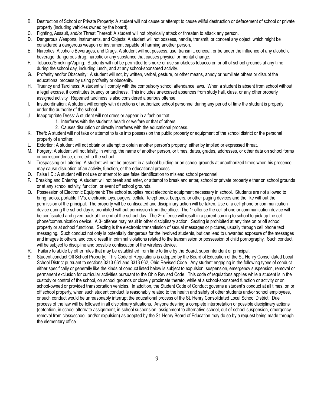- B. Destruction of School or Private Property: A student will not cause or attempt to cause willful destruction or defacement of school or private property (including vehicles owned by the board).
- C. Fighting, Assault, and/or Threat Thereof: A student will not physically attack or threaten to attack any person.
- D. Dangerous Weapons, Instruments, and Objects: A student will not possess, handle, transmit, or conceal any object, which might be considered a dangerous weapon or instrument capable of harming another person.
- E. Narcotics, Alcoholic Beverages, and Drugs: A student will not possess, use, transmit, conceal, or be under the influence of any alcoholic beverage, dangerous drug, narcotic or any substance that causes physical or mental change.
- F. Tobacco/Smoking/Vaping: Students will not be permitted to smoke or use smokeless tobacco on or off of school grounds at any time during the school day, including lunch, and at any school-sponsored activity.
- G. Profanity and/or Obscenity: A student will not, by written, verbal, gesture, or other means, annoy or humiliate others or disrupt the educational process by using profanity or obscenity.
- H. Truancy and Tardiness: A student will comply with the compulsory school attendance laws. When a student is absent from school without a legal excuse, it constitutes truancy or tardiness. This includes unexcused absences from study hall, class, or any other properly assigned activity. Repeated tardiness is also considered a serious offense.
- I. Insubordination: A student will comply with directions of authorized school personnel during any period of time the student is properly under the authority of the school.
- J. Inappropriate Dress: A student will not dress or appear in a fashion that:
	- 1. Interferes with the student's health or welfare or that of others.
	- 2. Causes disruption or directly interferes with the educational process.
- K. Theft: A student will not take or attempt to take into possession the public property or equipment of the school district or the personal property of another.
- L. Extortion: A student will not obtain or attempt to obtain another person's property, either by implied or expressed threat.
- M. Forgery: A student will not falsify, in writing, the name of another person, or times, dates, grades, addresses, or other data on school forms or correspondence, directed to the school.
- N. Trespassing or Loitering: A student will not be present in a school building or on school grounds at unauthorized times when his presence may cause disruption of an activity, function, or the educational process.
- O. False I.D.: A student will not use or attempt to use false identification to mislead school personnel.
- P. Breaking and Entering: A student will not break and enter, or attempt to break and enter, school or private property either on school grounds or at any school activity, function, or event off school grounds.
- Q. Possession of Electronic Equipment: The school supplies most electronic equipment necessary in school. Students are not allowed to bring radios, portable TV's, electronic toys, pagers, cellular telephones, beepers, or other paging devices and the like without the permission of the principal. The property will be confiscated and disciplinary action will be taken. Use of a cell phone or communication device during the school day is prohibited without permission from the office. The 1<sup>®</sup> offense the cell phone or communication device will be confiscated and given back at the end of the school day. The 2<sup>nd</sup> offense will result in a parent coming to school to pick up the cell phone/communication device. A 3<sup>d</sup> offense may result in other disciplinary action. Sexting is prohibited at any time on or off school property or at school functions. Sexting is the electronic transmission of sexual messages or pictures, usually through cell phone text messaging. Such conduct not only is potentially dangerous for the involved students, but can lead to unwanted exposure of the messages and images to others, and could result in criminal violations related to the transmission or possession of child pornography. Such conduct will be subject to discipline and possible confiscation of the wireless device.
- R. Failure to abide by other rules that may be established from time to time by the Board, superintendent or principal.
- S. Student conduct Off School Property: This Code of Regulations is adopted by the Board of Education of the St. Henry Consolidated Local School District pursuant to sections 3313.661 and 3313.662, Ohio Revised Code. Any student engaging in the following types of conduct either specifically or generally like the kinds of conduct listed below is subject to expulsion, suspension, emergency suspension, removal or permanent exclusion for curricular activities pursuant to the Ohio Revised Code. This code of regulations applies while a student is in the custody or control of the school, on school grounds or closely proximate thereto, while at a school-sponsored function or activity or on school-owned or provided transportation vehicles. In addition, the Student Code of Conduct governs a student's conduct at all times, on or off school property, when such student conduct Is reasonably related to the health and safety of other students and/or school employees, or such conduct would be unreasonably interrupt the educational process of the St. Henry Consolidated Local School District. Due process of the law will be followed in all disciplinary situations. Anyone desiring a complete interpretation of possible disciplinary actions (detention, in school alternate assignment, in-school suspension, assignment to alternative school, out-of-school suspension, emergency removal from class/school, and/or expulsion) as adopted by the St. Henry Board of Education may do so by a request being made through the elementary office.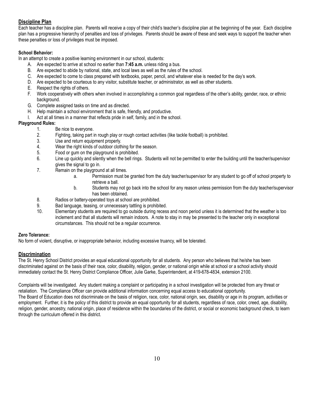# **Discipline Plan**

Each teacher has a discipline plan. Parents will receive a copy of their child's teacher's discipline plan at the beginning of the year. Each discipline plan has a progressive hierarchy of penalties and loss of privileges. Parents should be aware of these and seek ways to support the teacher when these penalties or loss of privileges must be imposed.

# **School Behavior:**

In an attempt to create a positive learning environment in our school, students:

- A. Are expected to arrive at school no earlier than **7:45 a.m.** unless riding a bus.
- B. Are expected to abide by national, state, and local laws as well as the rules of the school.
- C. Are expected to come to class prepared with textbooks, paper, pencil, and whatever else is needed for the day's work.
- D. Are expected to be courteous to any visitor, substitute teacher, or administrator, as well as other students.
- E. Respect the rights of others.
- F. Work cooperatively with others when involved in accomplishing a common goal regardless of the other's ability, gender, race, or ethnic background.
- G. Complete assigned tasks on time and as directed.
- H. Help maintain a school environment that is safe, friendly, and productive.
- I. Act at all times in a manner that reflects pride in self, family, and in the school.

# **Playground Rules:**

- 1. Be nice to everyone.
- 2. Fighting, taking part in rough play or rough contact activities (like tackle football) is prohibited.
- 3. Use and return equipment properly.
- 4. Wear the right kinds of outdoor clothing for the season.
- 5. Food or gum on the playground is prohibited.
- 6. Line up quickly and silently when the bell rings. Students will not be permitted to enter the building until the teacher/supervisor gives the signal to go in.
- 7. Remain on the playground at all times.
	- a. Permission must be granted from the duty teacher/supervisor for any student to go off of school property to retrieve a ball.
	- b. Students may not go back into the school for any reason unless permission from the duty teacher/supervisor has been obtained.
- 8. Radios or battery-operated toys at school are prohibited.
- 9. Bad language, teasing, or unnecessary tattling is prohibited.
- 10. Elementary students are required to go outside during recess and noon period unless it is determined that the weather is too inclement and that all students will remain indoors. A note to stay in may be presented to the teacher only in exceptional circumstances. This should not be a regular occurrence.

#### **Zero Tolerance:**

No form of violent, disruptive, or inappropriate behavior, including excessive truancy, will be tolerated.

# **Discrimination**

The St. Henry School District provides an equal educational opportunity for all students. Any person who believes that he/she has been discriminated against on the basis of their race, color, disability, religion, gender, or national origin while at school or a school activity should immediately contact the St. Henry District Compliance Officer, Julie Garke, Superintendent, at 419-678-4834, extension 2100.

Complaints will be investigated. Any student making a complaint or participating in a school investigation will be protected from any threat or retaliation. The Compliance Officer can provide additional information concerning equal access to educational opportunity. The Board of Education does not discriminate on the basis of religion, race, color, national origin, sex, disability or age in its program, activities or employment. Further, it is the policy of this district to provide an equal opportunity for all students, regardless of race, color, creed, age, disability, religion, gender, ancestry, national origin, place of residence within the boundaries of the district, or social or economic background check, to learn through the curriculum offered in this district.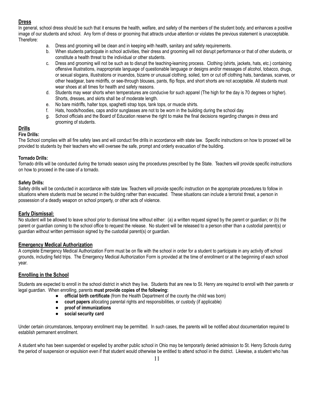# **Dress**

In general, school dress should be such that it ensures the health, welfare, and safety of the members of the student body, and enhances a positive image of our students and school. Any form of dress or grooming that attracts undue attention or violates the previous statement is unacceptable. Therefore:

- a. Dress and grooming will be clean and in keeping with health, sanitary and safety requirements.
- b. When students participate in school activities, their dress and grooming will not disrupt performance or that of other students, or constitute a health threat to the individual or other students.
- c. Dress and grooming will not be such as to disrupt the teaching-learning process. Clothing (shirts, jackets, hats, etc.) containing offensive illustrations, inappropriate language of questionable language or designs and/or messages of alcohol, tobacco, drugs, or sexual slogans, illustrations or inuendos, bizarre or unusual clothing, soiled, torn or cut off clothing hats, bandanas, scarves, or other headgear, bare midriffs, or see-through blouses, pants, flip flops, and short shorts are not acceptable. All students must wear shoes at all times for health and safety reasons.
- d. Students may wear shorts when temperatures are conducive for such apparel (The high for the day is 70 degrees or higher). Shorts, dresses, and skirts shall be of moderate length.
- e. No bare midriffs, halter tops, spaghetti strap tops, tank tops, or muscle shirts.
- f. Hats, hoods/hoodies, caps and/or sunglasses are not to be worn in the building during the school day.
- g. School officials and the Board of Education reserve the right to make the final decisions regarding changes in dress and grooming of students.

# **Drills**

# **Fire Drills:**

The School complies with all fire safety laws and will conduct fire drills in accordance with state law. Specific instructions on how to proceed will be provided to students by their teachers who will oversee the safe, prompt and orderly evacuation of the building.

# **Tornado Drills:**

Tornado drills will be conducted during the tornado season using the procedures prescribed by the State. Teachers will provide specific instructions on how to proceed in the case of a tornado.

# **Safety Drills:**

Safety drills will be conducted in accordance with state law. Teachers will provide specific instruction on the appropriate procedures to follow in situations where students must be secured in the building rather than evacuated. These situations can include a terrorist threat, a person in possession of a deadly weapon on school property, or other acts of violence.

#### **Early Dismissal:**

No student will be allowed to leave school prior to dismissal time without either: (a) a written request signed by the parent or guardian; or (b) the parent or guardian coming to the school office to request the release. No student will be released to a person other than a custodial parent(s) or guardian without written permission signed by the custodial parent(s) or guardian.

#### **Emergency Medical Authorization**

A complete Emergency Medical Authorization Form must be on file with the school in order for a student to participate in any activity off school grounds, including field trips. The Emergency Medical Authorization Form is provided at the time of enrollment or at the beginning of each school year.

# **Enrolling in the School**

Students are expected to enroll in the school district in which they live. Students that are new to St. Henry are required to enroll with their parents or legal guardian. When enrolling, parents **must provide copies of the following:**

- **official birth certificate** (from the Health Department of the county the child was born)
- **court papers** allocating parental rights and responsibilities, or custody (if applicable)
- **proof of immunizations**
- **social security card**

Under certain circumstances, temporary enrollment may be permitted. In such cases, the parents will be notified about documentation required to establish permanent enrollment.

A student who has been suspended or expelled by another public school in Ohio may be temporarily denied admission to St. Henry Schools during the period of suspension or expulsion even if that student would otherwise be entitled to attend school in the district. Likewise, a student who has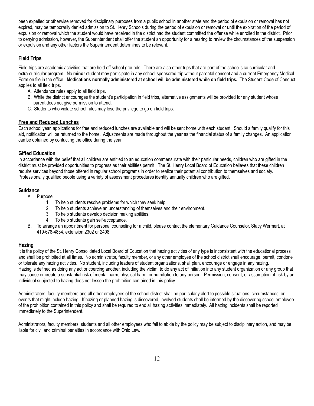been expelled or otherwise removed for disciplinary purposes from a public school in another state and the period of expulsion or removal has not expired, may be temporarily denied admission to St. Henry Schools during the period of expulsion or removal or until the expiration of the period of expulsion or removal which the student would have received in the district had the student committed the offense while enrolled in the district. Prior to denying admission, however, the Superintendent shall offer the student an opportunity for a hearing to review the circumstances of the suspension or expulsion and any other factors the Superintendent determines to be relevant.

# **Field Trips**

Field trips are academic activities that are held off school grounds. There are also other trips that are part of the school's co-curricular and extra-curricular program. No **minor** student may participate in any school-sponsored trip without parental consent and a current Emergency Medical Form on file in the office. Medications normally administered at school will be administered while on field trips. The Student Code of Conduct applies to all field trips.

- A. Attendance rules apply to all field trips.
- B. While the district encourages the student's participation in field trips, alternative assignments will be provided for any student whose parent does not give permission to attend.
- C. Students who violate school rules may lose the privilege to go on field trips.

# **Free and Reduced Lunches**

Each school year, applications for free and reduced lunches are available and will be sent home with each student. Should a family qualify for this aid, notification will be returned to the home. Adjustments are made throughout the year as the financial status of a family changes. An application can be obtained by contacting the office during the year.

# **Gifted Education**

In accordance with the belief that all children are entitled to an education commensurate with their particular needs, children who are gifted in the district must be provided opportunities to progress as their abilities permit. The St. Henry Local Board of Education believes that these children require services beyond those offered in regular school programs in order to realize their potential contribution to themselves and society. Professionally qualified people using a variety of assessment procedures identify annually children who are gifted.

# **Guidance**

A. Purpose

- 1. To help students resolve problems for which they seek help.
- 2. To help students achieve an understanding of themselves and their environment.
- 3. To help students develop decision making abilities.
- 4. To help students gain self-acceptance.
- B. To arrange an appointment for personal counseling for a child, please contact the elementary Guidance Counselor, Stacy Wermert, at 419-678-4834, extension 2302 or 2408.

# **Hazing**

It is the policy of the St. Henry Consolidated Local Board of Education that hazing activities of any type is inconsistent with the educational process and shall be prohibited at all times. No administrator, faculty member, or any other employee of the school district shall encourage, permit, condone or tolerate any hazing activities. No student, including leaders of student organizations, shall plan, encourage or engage in any hazing. Hazing is defined as doing any act or coercing another, including the victim, to do any act of initiation into any student organization or any group that may cause or create a substantial risk of mental harm, physical harm, or humiliation to any person. Permission, consent, or assumption of risk by an individual subjected to hazing does not lessen the prohibition contained in this policy.

Administrators, faculty members and all other employees of the school district shall be particularly alert to possible situations, circumstances, or events that might include hazing. If hazing or planned hazing is discovered, involved students shall be informed by the discovering school employee of the prohibition contained in this policy and shall be required to end all hazing activities immediately. All hazing incidents shall be reported immediately to the Superintendent.

Administrators, faculty members, students and all other employees who fail to abide by the policy may be subject to disciplinary action, and may be liable for civil and criminal penalties in accordance with Ohio Law.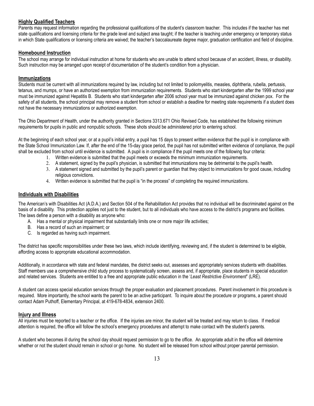# **Highly Qualified Teachers**

Parents may request information regarding the professional qualifications of the student's classroom teacher. This includes if the teacher has met state qualifications and licensing criteria for the grade level and subject area taught; if the teacher is teaching under emergency or temporary status in which State qualifications or licensing criteria are waived; the teacher's baccalaureate degree major, graduation certification and field of discipline.

#### **Homebound Instruction**

The school may arrange for individual instruction at home for students who are unable to attend school because of an accident, illness, or disability. Such instruction may be arranged upon receipt of documentation of the student's condition from a physician.

#### **Immunizations**

Students must be current with all immunizations required by law, including but not limited to poliomyelitis, measles, diphtheria, rubella, pertussis, tetanus, and mumps, or have an authorized exemption from immunization requirements. Students who start kindergarten after the 1999 school year must be immunized against Hepatitis B. Students who start kindergarten after 2006 school year must be immunized against chicken pox. For the safety of all students, the school principal may remove a student from school or establish a deadline for meeting state requirements if a student does not have the necessary immunizations or authorized exemption.

The Ohio Department of Health, under the authority granted in Sections 3313.671 Ohio Revised Code, has established the following minimum requirements for pupils in public and nonpublic schools. These shots should be administered prior to entering school.

At the beginning of each school year, or at a pupil's initial entry, a pupil has 15 days to present written evidence that the pupil is in compliance with the State School Immunization Law. If, after the end of the 15-day grace period, the pupil has not submitted written evidence of compliance, the pupil shall be excluded from school until evidence is submitted. A pupil is in compliance if the pupil meets one of the following four criteria:

- 1. Written evidence is submitted that the pupil meets or exceeds the minimum immunization requirements.
- 2. A statement, signed by the pupil's physician, is submitted that immunizations may be detrimental to the pupil's health.
- 3. A statement signed and submitted by the pupil's parent or guardian that they object to immunizations for good cause, including religious convictions.
- 4. Written evidence is submitted that the pupil is "in the process" of completing the required immunizations.

# **Individuals with Disabilities**

The American's with Disabilities Act (A.D.A.) and Section 504 of the Rehabilitation Act provides that no individual will be discriminated against on the basis of a disability. This protection applies not just to the student, but to all individuals who have access to the district's programs and facilities. The laws define a person with a disability as anyone who:

- A. Has a mental or physical impairment that substantially limits one or more major life activities;
- B. Has a record of such an impairment; or
- C. Is regarded as having such impairment.

The district has specific responsibilities under these two laws, which include identifying, reviewing and, if the student is determined to be eligible, affording access to appropriate educational accommodation.

Additionally, in accordance with state and federal mandates, the district seeks out, assesses and appropriately services students with disabilities. Staff members use a comprehensive child study process to systematically screen, assess and, if appropriate, place students in special education and related services. Students are entitled to a free and appropriate public education in the '*Least Restrictive Environment*" (LRE).

A student can access special education services through the proper evaluation and placement procedures. Parent involvement in this procedure is required. More importantly, the school wants the parent to be an active participant. To inquire about the procedure or programs, a parent should contact Adam Puthoff, Elementary Principal, at 419-678-4834, extension 2400.

#### **Injury and Illness**

All injuries must be reported to a teacher or the office. If the injuries are minor, the student will be treated and may return to class. If medical attention is required, the office will follow the school's emergency procedures and attempt to make contact with the student's parents.

A student who becomes ill during the school day should request permission to go to the office. An appropriate adult in the office will determine whether or not the student should remain in school or go home. No student will be released from school without proper parental permission.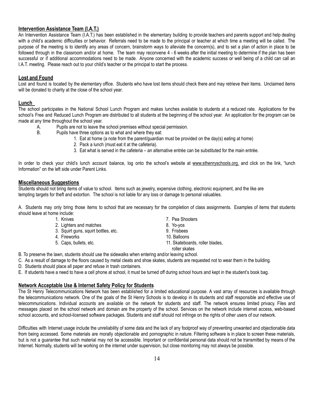# **Intervention Assistance Team (I.A.T.)**

An Intervention Assistance Team (I.A.T.) has been established in the elementary building to provide teachers and parents support and help dealing with a child's academic difficulties or behavior. Referrals need to be made to the principal or teacher at which time a meeting will be called. The purpose of the meeting is to identify any areas of concern, brainstorm ways to alleviate the concern(s), and to set a plan of action in place to be followed through in the classroom and/or at home. The team may reconvene 4 - 6 weeks after the initial meeting to determine if the plan has been successful or if additional accommodations need to be made. Anyone concerned with the academic success or well being of a child can call an I.A.T. meeting. Please reach out to your child's teacher or the principal to start the process.

# **Lost and Found**

Lost and found is located by the elementary office. Students who have lost items should check there and may retrieve their items. Unclaimed items will be donated to charity at the close of the school year.

#### **Lunch**

The school participates in the National School Lunch Program and makes lunches available to students at a reduced rate. Applications for the school's Free and Reduced Lunch Program are distributed to all students at the beginning of the school year. An application for the program can be made at any time throughout the school year.

- A. Pupils are not to leave the school premises without special permission.
- B. Pupils have three options as to what and where they eat:
	- 1. Eat at home (a note from the parent/guardian must be provided on the day(s) eating at home)
	- 2. Pack a lunch (must eat it at the cafeteria).
	- 3. Eat what is served in the cafeteria an alternative entrée can be substituted for the main entrée.

In order to check your child's lunch account balance, log onto the school's website at [www.sthenryschools.org.](http://www.sthenryschools.org/) and click on the link, "lunch Information" on the left side under Parent Links.

#### **Miscellaneous Suggestions**

Students should not bring items of value to school. Items such as jewelry, expensive clothing, electronic equipment, and the like are tempting targets for theft and extortion. The school is not liable for any loss or damage to personal valuables.

A. Students may only bring those items to school that are necessary for the completion of class assignments. Examples of items that students should leave at home include:

- 
- 2. Lighters and matches 8. Yo-yos
- 3. Squirt guns, squirt bottles, etc. 9. Frisbees
- 
- 
- 1. Knives **7. Pea Shooters** 
	-
	-
- 4. Fireworks 2008 2009 10. Balloons
- 5. Caps, bullets, etc. 11. Skateboards, roller blades,
- roller skates B. To preserve the lawn, students should use the sidewalks when entering and/or leaving school.
- C. As a result of damage to the floors caused by metal cleats and shoe skates, students are requested not to wear them in the building.
- D. Students should place all paper and refuse in trash containers.
- E. If students have a need to have a cell phone at school, it must be turned off during school hours and kept in the student's book bag.

# **Network Acceptable Use & Internet Safety Policy for Students**

The St Henry Telecommunications Network has been established for a limited educational purpose. A vast array of resources is available through the telecommunications network. One of the goals of the St Henry Schools is to develop in its students and staff responsible and effective use of telecommunications. Individual accounts are available on the network for students and staff. The network ensures limited privacy. Files and messages placed on the school network and domain are the property of the school. Services on the network include internet access, web-based school accounts, and school-licensed software packages. Students and staff should not infringe on the rights of other users of our network.

Difficulties with Internet usage include the unreliability of some data and the lack of any foolproof way of preventing unwanted and objectionable data from being accessed. Some materials are morally objectionable and pornographic in nature. Filtering software is in place to screen these materials, but is not a guarantee that such material may not be accessible. Important or confidential personal data should not be transmitted by means of the Internet. Normally, students will be working on the internet under supervision, but close monitoring may not always be possible.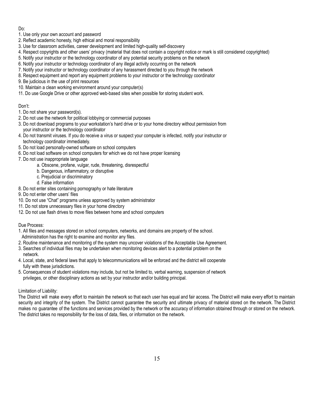Do:

- 1. Use only your own account and password
- 2. Reflect academic honesty, high ethical and moral responsibility
- 3. Use for classroom activities, career development and limited high-quality self-discovery
- 4. Respect copyrights and other users' privacy (material that does not contain a copyright notice or mark is still considered copyrighted)
- 5. Notify your instructor or the technology coordinator of any potential security problems on the network
- 6. Notify your instructor or technology coordinator of any illegal activity occurring on the network
- 7. Notify your instructor or technology coordinator of any harassment directed to you through the network
- 8. Respect equipment and report any equipment problems to your instructor or the technology coordinator
- 9. Be judicious in the use of print resources
- 10. Maintain a clean working environment around your computer(s)
- 11. Do use Google Drive or other approved web-based sites when possible for storing student work.

# Don't:

- 1. Do not share your password(s).
- 2. Do not use the network for political lobbying or commercial purposes
- 3. Do not download programs to your workstation's hard drive or to your home directory without permission from your instructor or the technology coordinator
- 4. Do not transmit viruses. If you do receive a virus or suspect your computer is infected, notify your instructor or technology coordinator immediately.
- 5. Do not load personally-owned software on school computers
- 6. Do not load software on school computers for which we do not have proper licensing
- 7. Do not use inappropriate language
	- a. Obscene, profane, vulgar, rude, threatening, disrespectful
	- b. Dangerous, inflammatory, or disruptive
	- c. Prejudicial or discriminatory
	- d. False information
- 8. Do not enter sites containing pornography or hate literature
- 9. Do not enter other users' files
- 10. Do not use "Chat" programs unless approved by system administrator
- 11. Do not store unnecessary files in your home directory
- 12. Do not use flash drives to move files between home and school computers

#### Due Process:

- 1. All files and messages stored on school computers, networks, and domains are property of the school.
- Administration has the right to examine and monitor any files.
- 2. Routine maintenance and monitoring of the system may uncover violations of the Acceptable Use Agreement.
- 3. Searches of individual files may be undertaken when monitoring devices alert to a potential problem on the network.
- 4. Local, state, and federal laws that apply to telecommunications will be enforced and the district will cooperate fully with these jurisdictions.
- 5. Consequences of student violations may include, but not be limited to, verbal warning, suspension of network privileges, or other disciplinary actions as set by your instructor and/or building principal.

# Limitation of Liability:

The District will make every effort to maintain the network so that each user has equal and fair access. The District will make every effort to maintain security and integrity of the system. The District cannot guarantee the security and ultimate privacy of material stored on the network. The District makes no guarantee of the functions and services provided by the network or the accuracy of information obtained through or stored on the network. The district takes no responsibility for the loss of data, files, or information on the network.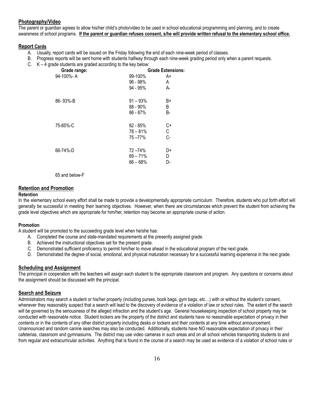# **Photography/Video**

The parent or guardian agrees to allow his/her child's photo/video to be used in school educational programming and planning, and to create awareness of school programs. If the parent or guardian refuses consent, s/he will provide written refusal to the elementary school office.

#### **Report Cards**

- A. Usually, report cards will be issued on the Friday following the end of each nine-week period of classes.
- B. Progress reports will be sent home with students halfway through each nine-week grading period only when a parent requests.
- C. K 4 grade students are graded according to the key below:

| Grade range: |             | <b>Grade Extensions:</b> |
|--------------|-------------|--------------------------|
| 94-100%-A    | 99-100%     | A+                       |
|              | $96 - 98%$  | A                        |
|              | 94 - 95%    | А-                       |
| 86-93%-B     | $91 - 93%$  | B+                       |
|              | $88 - 90\%$ | B                        |
|              | 86 - 87%    | B-                       |
| 75-85%-C     | $82 - 85%$  | C+                       |
|              | $78 - 81%$  | С                        |
|              | 75-77%      | C-                       |
| 66-74%-D     | 72-74%      | D+                       |
|              | $69 - 71%$  | D                        |
|              | $66 - 68%$  | D-                       |
|              |             |                          |

65 and below-F

# **Retention and Promotion**

#### **Retention**

In the elementary school every effort shall be made to provide a developmentally appropriate curriculum. Therefore, students who put forth effort will generally be successful in meeting their learning objectives. However, when there are circumstances which prevent the student from achieving the grade level objectives which are appropriate for him/her, retention may become an appropriate course of action.

#### **Promotion**

A student will be promoted to the succeeding grade level when he/she has:

- A. Completed the course and state-mandated requirements at the presently assigned grade.
- B. Achieved the instructional objectives set for the present grade.
- C. Demonstrated sufficient proficiency to permit him/her to move ahead in the educational program of the next grade.
- D. Demonstrated the degree of social, emotional, and physical maturation necessary for a successful learning experience in the next grade.

#### **Scheduling and Assignment**

The principal in cooperation with the teachers will assign each student to the appropriate classroom and program. Any questions or concerns about the assignment should be discussed with the principal.

#### **Search and Seizure**

Administrators may search a student or his/her property (including purses, book bags, gym bags, etc…) with or without the student's consent, whenever they reasonably suspect that a search will lead to the discovery of evidence of a violation of law or school rules. The extent of the search will be governed by the seriousness of the alleged infraction and the student's age. General housekeeping inspection of school property may be conducted with reasonable notice. Student lockers are the property of the district and students have no reasonable expectation of privacy in their contents or in the contents of any other district property including desks or lockers and their contents at any time without announcement. Unannounced and random canine searches may also be conducted. Additionally, students have NO reasonable expectation of privacy in their cafeterias, classroom and gymnasiums. The district may use video cameras in such areas and on all school vehicles transporting students to and from regular and extracurricular activities. Anything that is found in the course of a search may be used as evidence of a violation of school rules or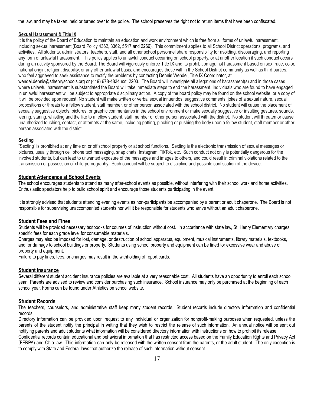the law, and may be taken, held or turned over to the police. The school preserves the right not to return items that have been confiscated.

#### **Sexual Harassment & Title IX**

It is the policy of the Board of Education to maintain an education and work environment which is free from all forms of unlawful harassment, including sexual harassment (Board Policy 4362, 3362, 5517 and 2266). This commitment applies to all School District operations, programs, and activities. All students, administrators, teachers, staff, and all other school personnel share responsibility for avoiding, discouraging, and reporting any form of unlawful harassment. This policy applies to unlawful conduct occurring on school property, or at another location if such conduct occurs during an activity sponsored by the Board. The Board will vigorously enforce Title IX and its prohibition against harassment based on sex, race, color, national origin, religion, disability, or any other unlawful basis, and encourages those within the School District community as well as third parties, who feel aggrieved to seek assistance to rectify the problems by contacting Dennis Wendel, Title IX Coordinator, at wendel.dennis@sthenryschools.org or (419) 678-4834 ext. 2203. The Board will investigate all allegations of harassment(s) and in those cases

where unlawful harassment is substantiated the Board will take immediate steps to end the harassment. Individuals who are found to have engaged in unlawful harassment will be subject to appropriate disciplinary action. A copy of the board policy may be found on the school website, or a copy of it will be provided upon request**.** No student will make written or verbal sexual innuendos, suggestive comments, jokes of a sexual nature, sexual propositions or threats to a fellow student, staff member, or other person associated with the school district. No student will cause the placement of sexually suggestive objects, pictures, or graphic commentaries in the school environment or make sexually suggestive or insulting gestures, sounds, leering, staring, whistling and the like to a fellow student, staff member or other person associated with the district. No student will threaten or cause unauthorized touching, contact, or attempts at the same, including patting, pinching or pushing the body upon a fellow student, staff member or other person associated with the district.

#### **Sexting**

"Sexting" is prohibited at any time on or off school property or at school functions. Sexting is the electronic transmission of sexual messages or pictures, usually through cell phone text messaging, snap chats, Instagram, TikTok, etc. Such conduct not only is potentially dangerous for the involved students, but can lead to unwanted exposure of the messages and images to others, and could result in criminal violations related to the transmission or possession of child pornography. Such conduct will be subject to discipline and possible confiscation of the device.

#### **Student Attendance at School Events**

The school encourages students to attend as many after-school events as possible, without interfering with their school work and home activities. Enthusiastic spectators help to build school spirit and encourage those students participating in the event.

It is strongly advised that students attending evening events as non-participants be accompanied by a parent or adult chaperone. The Board is not responsible for supervising unaccompanied students nor will it be responsible for students who arrive without an adult chaperone.

#### **Student Fees and Fines**

Students will be provided necessary textbooks for courses of instruction without cost. In accordance with state law, St. Henry Elementary charges specific fees for each grade level for consumable materials.

Charges may also be imposed for lost, damage, or destruction of school apparatus, equipment, musical instruments, library materials, textbooks, and for damage to school buildings or property. Students using school property and equipment can be fined for excessive wear and abuse of property and equipment.

Failure to pay fines, fees, or charges may result in the withholding of report cards.

#### **Student Insurance**

Several different student accident insurance policies are available at a very reasonable cost. All students have an opportunity to enroll each school year. Parents are advised to review and consider purchasing such insurance. School insurance may only be purchased at the beginning of each school year. Forms can be found under Athletics on school website.

#### **Student Records**

The teachers, counselors, and administrative staff keep many student records. Student records include directory information and confidential records.

Directory information can be provided upon request to any individual or organization for nonprofit-making purposes when requested, unless the parents of the student notify the principal in writing that they wish to restrict the release of such information. An annual notice will be sent out notifying parents and adult students what information will be considered directory information with instructions on how to prohibit its release.

Confidential records contain educational and behavioral information that has restricted access based on the Family Education Rights and Privacy Act (FERPA) and Ohio law. This information can only be released with the written consent from the parents, or the adult student. The only exception is to comply with State and Federal laws that authorize the release of such information without consent.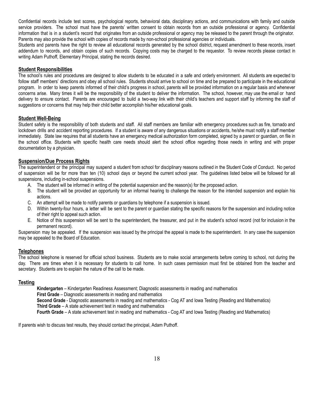Confidential records include test scores, psychological reports, behavioral data, disciplinary actions, and communications with family and outside service providers. The school must have the parents' written consent to obtain records from an outside professional or agency. Confidential information that is in a student's record that originates from an outside professional or agency may be released to the parent through the originator. Parents may also provide the school with copies of records made by non-school professional agencies or individuals.

Students and parents have the right to review all educational records generated by the school district, request amendment to these records, insert addendum to records, and obtain copies of such records. Copying costs may be charged to the requestor. To review records please contact in writing Adam Puthoff, Elementary Principal, stating the records desired.

# **Student Responsibilities**

The school's rules and procedures are designed to allow students to be educated in a safe and orderly environment. All students are expected to follow staff members' directions and obey all school rules. Students should arrive to school on time and be prepared to participate in the educational program. In order to keep parents informed of their child's progress in school, parents will be provided information on a regular basis and whenever concerns arise. Many times it will be the responsibility of the student to deliver the information. The school, however, may use the email or hand delivery to ensure contact. Parents are encouraged to build a two-way link with their child's teachers and support staff by informing the staff of suggestions or concerns that may help their child better accomplish his/her educational goals.

# **Student Well-Being**

Student safety is the responsibility of both students and staff. All staff members are familiar with emergency procedures such as fire, tornado and lockdown drills and accident reporting procedures. If a student is aware of any dangerous situations or accidents, he/she must notify a staff member immediately. State law requires that all students have an emergency medical authorization form completed, signed by a parent or guardian, on file in the school office. Students with specific health care needs should alert the school office regarding those needs in writing and with proper documentation by a physician.

# **Suspension/Due Process Rights**

The superintendent or the principal may suspend a student from school for disciplinary reasons outlined in the Student Code of Conduct. No period of suspension will be for more than ten (10) school days or beyond the current school year. The guidelines listed below will be followed for all suspensions, including in-school suspensions.

- A. The student will be informed in writing of the potential suspension and the reason(s) for the proposed action.
- B. The student will be provided an opportunity for an informal hearing to challenge the reason for the intended suspension and explain his actions.
- C. An attempt will be made to notify parents or guardians by telephone if a suspension is issued.
- D. Within twenty-four hours, a letter will be sent to the parent or guardian stating the specific reasons for the suspension and including notice of their right to appeal such action.
- E. Notice of this suspension will be sent to the superintendent, the treasurer, and put in the student's school record (not for inclusion in the permanent record).

Suspension may be appealed. If the suspension was issued by the principal the appeal is made to the superintendent. In any case the suspension may be appealed to the Board of Education.

#### **Telephones**

The school telephone is reserved for official school business. Students are to make social arrangements before coming to school, not during the day. There are times when it is necessary for students to call home. In such cases permission must first be obtained from the teacher and secretary. Students are to explain the nature of the call to be made.

#### **Testing**

**Kindergarten** – Kindergarten Readiness Assessment; Diagnostic assessments in reading and mathematics **First Grade** – Diagnostic assessments in reading and mathematics **Second Grade** - Diagnostic assessments in reading and mathematics - Cog AT and Iowa Testing (Reading and Mathematics) **Third Grade** – A state achievement test in reading and mathematics **Fourth Grade** – A state achievement test in reading and mathematics - Cog AT and Iowa Testing (Reading and Mathematics)

If parents wish to discuss test results, they should contact the principal, Adam Puthoff.